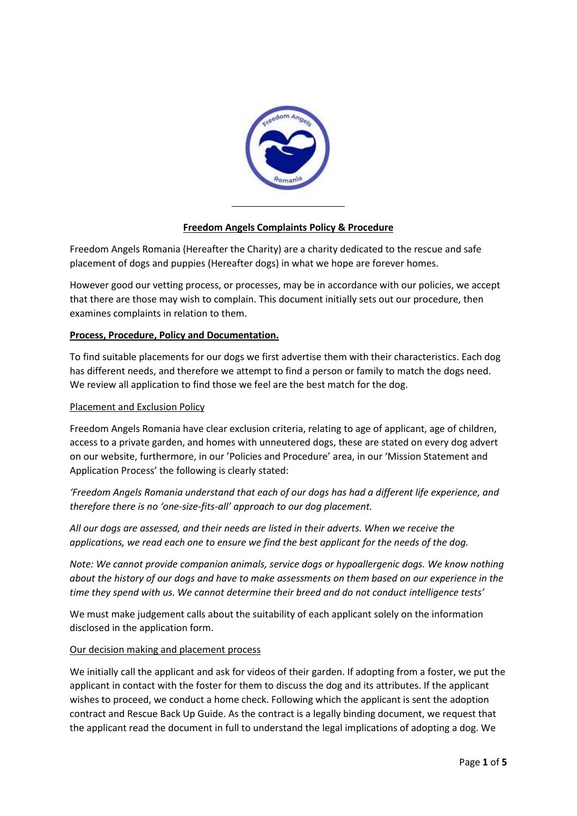

# **Freedom Angels Complaints Policy & Procedure**

Freedom Angels Romania (Hereafter the Charity) are a charity dedicated to the rescue and safe placement of dogs and puppies (Hereafter dogs) in what we hope are forever homes.

However good our vetting process, or processes, may be in accordance with our policies, we accept that there are those may wish to complain. This document initially sets out our procedure, then examines complaints in relation to them.

### **Process, Procedure, Policy and Documentation.**

To find suitable placements for our dogs we first advertise them with their characteristics. Each dog has different needs, and therefore we attempt to find a person or family to match the dogs need. We review all application to find those we feel are the best match for the dog.

#### Placement and Exclusion Policy

Freedom Angels Romania have clear exclusion criteria, relating to age of applicant, age of children, access to a private garden, and homes with unneutered dogs, these are stated on every dog advert on our website, furthermore, in our 'Policies and Procedure' area, in our 'Mission Statement and Application Process' the following is clearly stated:

*'Freedom Angels Romania understand that each of our dogs has had a different life experience, and therefore there is no 'one-size-fits-all' approach to our dog placement.* 

*All our dogs are assessed, and their needs are listed in their adverts. When we receive the applications, we read each one to ensure we find the best applicant for the needs of the dog.* 

*Note: We cannot provide companion animals, service dogs or hypoallergenic dogs. We know nothing about the history of our dogs and have to make assessments on them based on our experience in the time they spend with us. We cannot determine their breed and do not conduct intelligence tests'* 

We must make judgement calls about the suitability of each applicant solely on the information disclosed in the application form.

#### Our decision making and placement process

We initially call the applicant and ask for videos of their garden. If adopting from a foster, we put the applicant in contact with the foster for them to discuss the dog and its attributes. If the applicant wishes to proceed, we conduct a home check. Following which the applicant is sent the adoption contract and Rescue Back Up Guide. As the contract is a legally binding document, we request that the applicant read the document in full to understand the legal implications of adopting a dog. We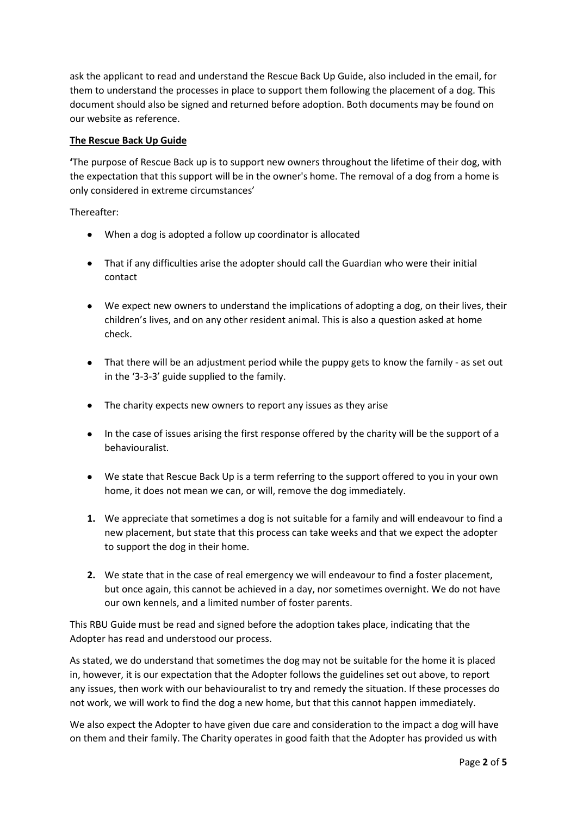ask the applicant to read and understand the Rescue Back Up Guide, also included in the email, for them to understand the processes in place to support them following the placement of a dog. This document should also be signed and returned before adoption. Both documents may be found on our website as reference.

# **The Rescue Back Up Guide**

**'**The purpose of Rescue Back up is to support new owners throughout the lifetime of their dog, with the expectation that this support will be in the owner's home. The removal of a dog from a home is only considered in extreme circumstances'

Thereafter:

- When a dog is adopted a follow up coordinator is allocated
- That if any difficulties arise the adopter should call the Guardian who were their initial contact
- We expect new owners to understand the implications of adopting a dog, on their lives, their children's lives, and on any other resident animal. This is also a question asked at home check.
- That there will be an adjustment period while the puppy gets to know the family as set out in the '3-3-3' guide supplied to the family.
- The charity expects new owners to report any issues as they arise
- In the case of issues arising the first response offered by the charity will be the support of a behaviouralist.
- We state that Rescue Back Up is a term referring to the support offered to you in your own home, it does not mean we can, or will, remove the dog immediately.
- **1.** We appreciate that sometimes a dog is not suitable for a family and will endeavour to find a new placement, but state that this process can take weeks and that we expect the adopter to support the dog in their home.
- **2.** We state that in the case of real emergency we will endeavour to find a foster placement, but once again, this cannot be achieved in a day, nor sometimes overnight. We do not have our own kennels, and a limited number of foster parents.

This RBU Guide must be read and signed before the adoption takes place, indicating that the Adopter has read and understood our process.

As stated, we do understand that sometimes the dog may not be suitable for the home it is placed in, however, it is our expectation that the Adopter follows the guidelines set out above, to report any issues, then work with our behaviouralist to try and remedy the situation. If these processes do not work, we will work to find the dog a new home, but that this cannot happen immediately.

We also expect the Adopter to have given due care and consideration to the impact a dog will have on them and their family. The Charity operates in good faith that the Adopter has provided us with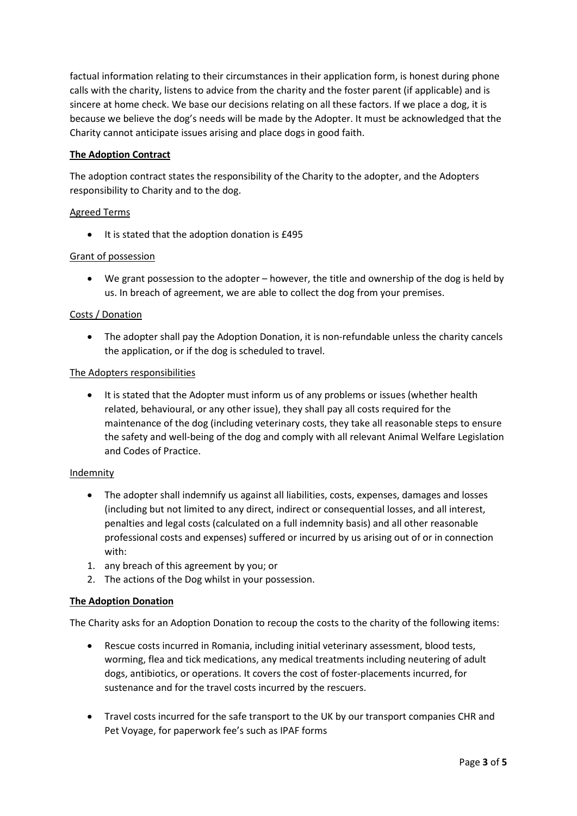factual information relating to their circumstances in their application form, is honest during phone calls with the charity, listens to advice from the charity and the foster parent (if applicable) and is sincere at home check. We base our decisions relating on all these factors. If we place a dog, it is because we believe the dog's needs will be made by the Adopter. It must be acknowledged that the Charity cannot anticipate issues arising and place dogs in good faith.

# **The Adoption Contract**

The adoption contract states the responsibility of the Charity to the adopter, and the Adopters responsibility to Charity and to the dog.

# Agreed Terms

• It is stated that the adoption donation is £495

### Grant of possession

• We grant possession to the adopter – however, the title and ownership of the dog is held by us. In breach of agreement, we are able to collect the dog from your premises.

### Costs / Donation

• The adopter shall pay the Adoption Donation, it is non-refundable unless the charity cancels the application, or if the dog is scheduled to travel.

### The Adopters responsibilities

• It is stated that the Adopter must inform us of any problems or issues (whether health related, behavioural, or any other issue), they shall pay all costs required for the maintenance of the dog (including veterinary costs, they take all reasonable steps to ensure the safety and well-being of the dog and comply with all relevant Animal Welfare Legislation and Codes of Practice.

### Indemnity

- The adopter shall indemnify us against all liabilities, costs, expenses, damages and losses (including but not limited to any direct, indirect or consequential losses, and all interest, penalties and legal costs (calculated on a full indemnity basis) and all other reasonable professional costs and expenses) suffered or incurred by us arising out of or in connection with:
- 1. any breach of this agreement by you; or
- 2. The actions of the Dog whilst in your possession.

### **The Adoption Donation**

The Charity asks for an Adoption Donation to recoup the costs to the charity of the following items:

- Rescue costs incurred in Romania, including initial veterinary assessment, blood tests, worming, flea and tick medications, any medical treatments including neutering of adult dogs, antibiotics, or operations. It covers the cost of foster-placements incurred, for sustenance and for the travel costs incurred by the rescuers.
- Travel costs incurred for the safe transport to the UK by our transport companies CHR and Pet Voyage, for paperwork fee's such as IPAF forms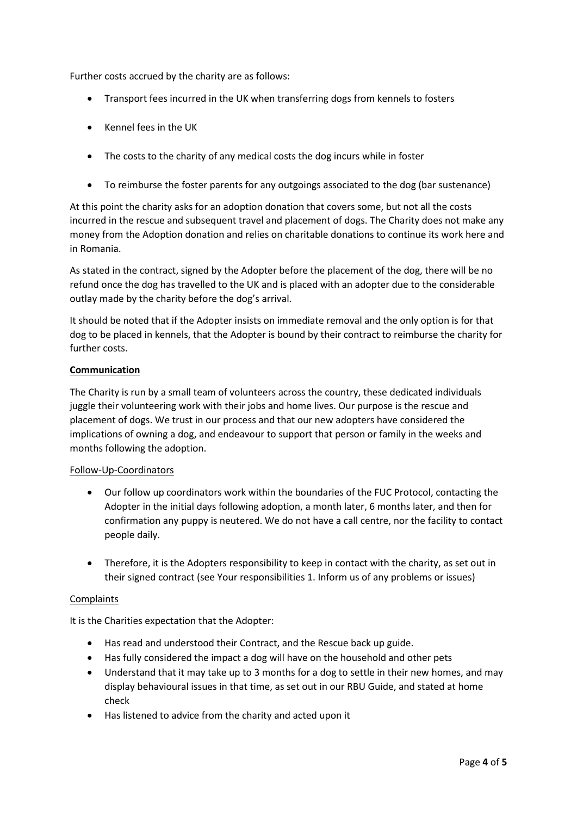Further costs accrued by the charity are as follows:

- Transport fees incurred in the UK when transferring dogs from kennels to fosters
- Kennel fees in the UK
- The costs to the charity of any medical costs the dog incurs while in foster
- To reimburse the foster parents for any outgoings associated to the dog (bar sustenance)

At this point the charity asks for an adoption donation that covers some, but not all the costs incurred in the rescue and subsequent travel and placement of dogs. The Charity does not make any money from the Adoption donation and relies on charitable donations to continue its work here and in Romania.

As stated in the contract, signed by the Adopter before the placement of the dog, there will be no refund once the dog has travelled to the UK and is placed with an adopter due to the considerable outlay made by the charity before the dog's arrival.

It should be noted that if the Adopter insists on immediate removal and the only option is for that dog to be placed in kennels, that the Adopter is bound by their contract to reimburse the charity for further costs.

# **Communication**

The Charity is run by a small team of volunteers across the country, these dedicated individuals juggle their volunteering work with their jobs and home lives. Our purpose is the rescue and placement of dogs. We trust in our process and that our new adopters have considered the implications of owning a dog, and endeavour to support that person or family in the weeks and months following the adoption.

### Follow-Up-Coordinators

- Our follow up coordinators work within the boundaries of the FUC Protocol, contacting the Adopter in the initial days following adoption, a month later, 6 months later, and then for confirmation any puppy is neutered. We do not have a call centre, nor the facility to contact people daily.
- Therefore, it is the Adopters responsibility to keep in contact with the charity, as set out in their signed contract (see Your responsibilities 1. Inform us of any problems or issues)

### **Complaints**

It is the Charities expectation that the Adopter:

- Has read and understood their Contract, and the Rescue back up guide.
- Has fully considered the impact a dog will have on the household and other pets
- Understand that it may take up to 3 months for a dog to settle in their new homes, and may display behavioural issues in that time, as set out in our RBU Guide, and stated at home check
- Has listened to advice from the charity and acted upon it